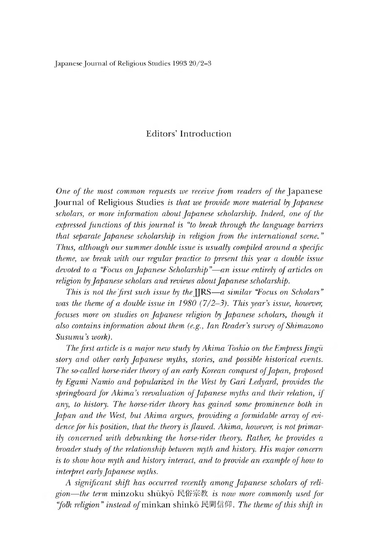## Editors' Introduction

*One of the most common requests we receive from readers of the* Japanese Journal of Religious Studies *is that we provide more material by Japanese* scholars, or more information about Japanese scholarship. Indeed, one of the *expressed functions of this journal is "to break through the language barriers that separate Japanese scholarship in religion from the international scene.* " *Thus, although our summer double issue is usually compiled around a specific theme, we break with our regular practice to present this year a double issue devoted to a "Focus on Japanese Scholarship "~ an issue entirely of articles on religion Japanese scholars and reviews about Japanese scholarship.*

*This is not the first such issue by the* [IRS—a similar "Focus on Scholars" *was the theme of a double issue in 1980 (7/2-3). This year's issue, however, focuses more on studies on Japanese religion by Japanese scholars, though it also contains information about them (e.g., Ian Reader's survey of Shimazono* Susumu's work).

*The first article is a major new study by Akima Tosmo on the Empress Jingu story and other early Japanese myths stories, and possible historical events. The so-called horse-rider theory of an early Korean conquest of Japan, proposed* by Egami Namio and popularized in the West by Gari Ledyard, provides the *springboard for Akima's reevaluation of Japanese myths and their relation, if any, to history. The horse-rider theory has gained some prominence both in Japan and the West, but Akima argues, providing a formidable array of evidence for his position, that the theory is flawed. Akima, however, is not primarily concerned with debunking the horse-rider theory. Rather, he provides a broader study of the relationship between myth and mstory. His major concern is to show how myth and history interact, and to provide an example oj how to interpret early Japanese myths.*

*A significant shift has occurred recently among Japanese scholars of religion the term* minzoku shukyo 民俗示教 *is now more commonly used for "folk religion" instead* o/minkan shinko 民間信仰. *The theme of this shift in*